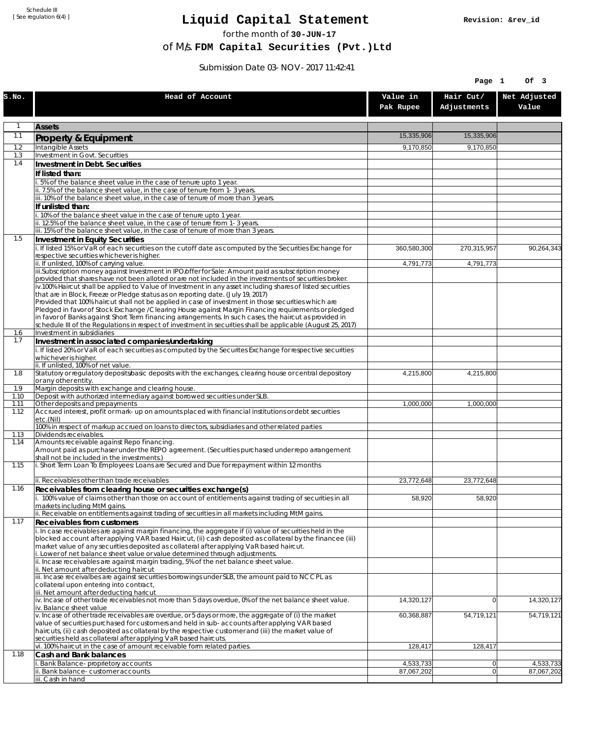Schedule III [ See regulation 6(4) ]

## **Liquid Capital Statement**

for the month of **30-JUN-17**

of M/s. **FDM Capital Securities (Pvt.)Ltd**

Submission Date 03-NOV-2017 11:42:41

|              |                                                                                                                                                                                                                       |                       | Page 1                   | Of 3                  |
|--------------|-----------------------------------------------------------------------------------------------------------------------------------------------------------------------------------------------------------------------|-----------------------|--------------------------|-----------------------|
| S.NO.        | Head of Account                                                                                                                                                                                                       | Value in<br>Pak Rupee | Hair Cut/<br>Adjustments | Net Adjusted<br>Value |
| $\mathbf{1}$ | <b>Assets</b>                                                                                                                                                                                                         |                       |                          |                       |
| 1.1          | Property & Equipment                                                                                                                                                                                                  | 15,335,906            | 15,335,906               |                       |
| 1.2          | <b>Intangible Assets</b>                                                                                                                                                                                              | 9,170,850             | 9,170,850                |                       |
| 1.3          | Investment in Govt. Securities                                                                                                                                                                                        |                       |                          |                       |
| 1.4          | Investment in Debt. Securities                                                                                                                                                                                        |                       |                          |                       |
|              | If listed than:<br>.5% of the balance sheet value in the case of tenure upto 1 year.                                                                                                                                  |                       |                          |                       |
|              | ii. 7.5% of the balance sheet value, in the case of tenure from 1-3 years.                                                                                                                                            |                       |                          |                       |
|              | iii. 10% of the balance sheet value, in the case of tenure of more than 3 years.                                                                                                                                      |                       |                          |                       |
|              | If unlisted than:<br>10% of the balance sheet value in the case of tenure upto 1 year.                                                                                                                                |                       |                          |                       |
|              | ii. 12.5% of the balance sheet value, in the case of tenure from 1-3 years.                                                                                                                                           |                       |                          |                       |
|              | iii. 15% of the balance sheet value, in the case of tenure of more than 3 years.                                                                                                                                      |                       |                          |                       |
| 1.5          | <b>Investment in Equity Securities</b>                                                                                                                                                                                |                       |                          |                       |
|              | i. If listed 15% or VaR of each securities on the cutoff date as computed by the Securities Exchange for<br>respective securities whichever is higher.                                                                | 360,580,300           | 270,315,957              | 90,264,343            |
|              | ii. If unlisted, 100% of carrying value.                                                                                                                                                                              | 4,791,773             | 4,791,773                |                       |
|              | iii.Subscription money against Investment in IPO/offer for Sale: Amount paid as subscription money                                                                                                                    |                       |                          |                       |
|              | provided that shares have not been alloted or are not included in the investments of securities broker.<br>iv.100% Haircut shall be applied to Value of Investment in any asset including shares of listed securities |                       |                          |                       |
|              | that are in Block, Freeze or Pledge status as on reporting date. (July 19, 2017)                                                                                                                                      |                       |                          |                       |
|              | Provided that 100% haircut shall not be applied in case of investment in those securities which are<br>Pledged in favor of Stock Exchange / Clearing House against Margin Financing requirements or pledged           |                       |                          |                       |
|              | in favor of Banks against Short Term financing arrangements. In such cases, the haircut as provided in                                                                                                                |                       |                          |                       |
|              | schedule III of the Regulations in respect of investment in securities shall be applicable (August 25, 2017)                                                                                                          |                       |                          |                       |
| 1.6<br>1.7   | Investment in subsidiaries                                                                                                                                                                                            |                       |                          |                       |
|              | Investment in associated companies/undertaking<br>i. If listed 20% or VaR of each securities as computed by the Securites Exchange for respective securities                                                          |                       |                          |                       |
|              | whichever is higher.                                                                                                                                                                                                  |                       |                          |                       |
|              | ii. If unlisted, 100% of net value.                                                                                                                                                                                   |                       |                          |                       |
| 1.8          | Statutory or regulatory deposits/basic deposits with the exchanges, clearing house or central depository<br>or any other entity.                                                                                      | 4,215,800             | 4,215,800                |                       |
| 1.9          | Margin deposits with exchange and clearing house.                                                                                                                                                                     |                       |                          |                       |
| 1.10<br>1.11 | Deposit with authorized intermediary against borrowed securities under SLB.<br>Other deposits and prepayments                                                                                                         | 1,000,000             | 1,000,000                |                       |
| 1.12         | Accrued interest, profit or mark-up on amounts placed with financial institutions or debt securities                                                                                                                  |                       |                          |                       |
|              | etc.(Nil)                                                                                                                                                                                                             |                       |                          |                       |
| 1.13         | 100% in respect of markup accrued on loans to directors, subsidiaries and other related parties<br>Dividends receivables.                                                                                             |                       |                          |                       |
| 1.14         | Amounts receivable against Repo financing.                                                                                                                                                                            |                       |                          |                       |
|              | Amount paid as purchaser under the REPO agreement. (Securities purchased under repo arrangement<br>shall not be included in the investments.)                                                                         |                       |                          |                       |
| 1.15         | i. Short Term Loan To Employees: Loans are Secured and Due for repayment within 12 months                                                                                                                             |                       |                          |                       |
|              | ii. Receivables other than trade receivables                                                                                                                                                                          | 23,772,648            | 23,772,648               |                       |
| 1.16         | Receivables from clearing house or securities exchange(s)                                                                                                                                                             |                       |                          |                       |
|              | i. 100% value of claims other than those on account of entitlements against trading of securities in all<br>markets including MtM gains.                                                                              | 58,920                | 58,920                   |                       |
| 1.17         | ii. Receivable on entitlements against trading of securities in all markets including MtM gains.                                                                                                                      |                       |                          |                       |
|              | Receivables from customers<br>i. In case receivables are against margin financing, the aggregate if (i) value of securities held in the                                                                               |                       |                          |                       |
|              | blocked account after applying VAR based Haircut, (ii) cash deposited as collateral by the financee (iii)                                                                                                             |                       |                          |                       |
|              | market value of any securities deposited as collateral after applying VaR based haircut.<br>i. Lower of net balance sheet value or value determined through adjustments.                                              |                       |                          |                       |
|              | ii. Incase receivables are against margin trading, 5% of the net balance sheet value.                                                                                                                                 |                       |                          |                       |
|              | ii. Net amount after deducting haircut                                                                                                                                                                                |                       |                          |                       |
|              | iii. Incase receivalbes are against securities borrowings under SLB, the amount paid to NCCPL as<br>collateral upon entering into contract,                                                                           |                       |                          |                       |
|              | iii. Net amount after deducting haricut                                                                                                                                                                               |                       |                          |                       |
|              | iv. Incase of other trade receivables not more than 5 days overdue, 0% of the net balance sheet value.                                                                                                                | 14,320,127            | 0                        | 14,320,127            |
|              | iv. Balance sheet value<br>v. Incase of other trade receivables are overdue, or 5 days or more, the aggregate of (i) the market                                                                                       | 60,368,887            | 54,719,121               | 54,719,121            |
|              | value of securities purchased for customers and held in sub-accounts after applying VAR based                                                                                                                         |                       |                          |                       |
|              | haircuts, (ii) cash deposited as collateral by the respective customer and (iii) the market value of                                                                                                                  |                       |                          |                       |
|              | securities held as collateral after applying VaR based haircuts.<br>vi. 100% haircut in the case of amount receivable form related parties.                                                                           | 128,417               | 128,417                  |                       |
| 1.18         | Cash and Bank balances                                                                                                                                                                                                |                       |                          |                       |
|              | Bank Balance-proprietory accounts                                                                                                                                                                                     | 4,533,733             | $\overline{0}$           | 4,533,733             |
|              | Bank balance-customer accounts<br>iii. Cash in hand                                                                                                                                                                   | 87,067,202            | 0                        | 87,067,202            |
|              |                                                                                                                                                                                                                       |                       |                          |                       |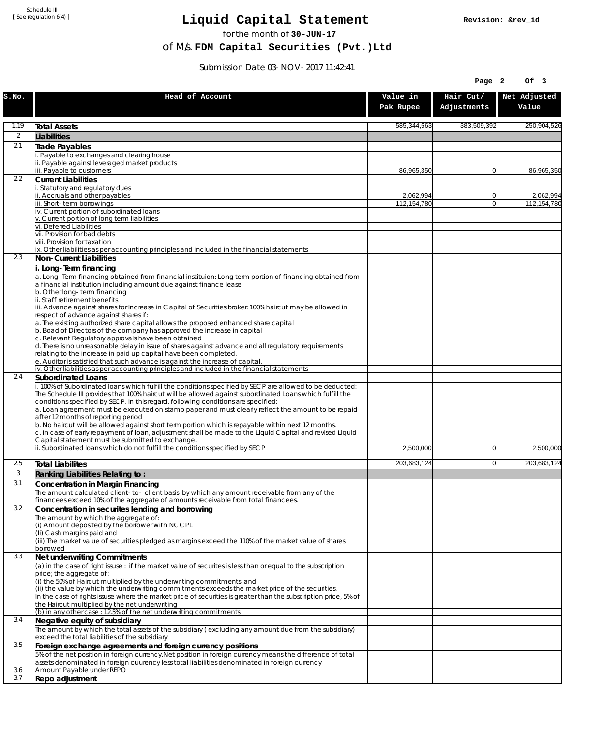Schedule III [ See regulation 6(4) ]

## **Liquid Capital Statement**

for the month of **30-JUN-17**

of M/s. **FDM Capital Securities (Pvt.)Ltd**

Submission Date 03-NOV-2017 11:42:41

|                |                                                                                                                                                                                                                                                                                                           |                          | Page 2                   | Of 3                     |
|----------------|-----------------------------------------------------------------------------------------------------------------------------------------------------------------------------------------------------------------------------------------------------------------------------------------------------------|--------------------------|--------------------------|--------------------------|
| S.NO.          | Head of Account                                                                                                                                                                                                                                                                                           | Value in<br>Pak Rupee    | Hair Cut/<br>Adjustments | Net Adjusted<br>Value    |
| 1.19           | <b>Total Assets</b>                                                                                                                                                                                                                                                                                       | 585,344,563              | 383,509,392              | 250,904,526              |
| $\overline{2}$ | Liabilities                                                                                                                                                                                                                                                                                               |                          |                          |                          |
| 2.1            | Trade Payables                                                                                                                                                                                                                                                                                            |                          |                          |                          |
|                | Payable to exchanges and clearing house<br>ii. Payable against leveraged market products                                                                                                                                                                                                                  |                          |                          |                          |
|                | iii. Payable to customers                                                                                                                                                                                                                                                                                 | 86,965,350               | $\overline{0}$           | 86,965,350               |
| 2.2            | <b>Current Liabilities</b>                                                                                                                                                                                                                                                                                |                          |                          |                          |
|                | Statutory and regulatory dues                                                                                                                                                                                                                                                                             |                          |                          |                          |
|                | ii. Accruals and other payables<br>iii. Short-term borrowings                                                                                                                                                                                                                                             | 2,062,994<br>112,154,780 | $\overline{0}$<br> 0     | 2,062,994<br>112,154,780 |
|                | iv. Current portion of subordinated loans                                                                                                                                                                                                                                                                 |                          |                          |                          |
|                | v. Current portion of long term liabilities                                                                                                                                                                                                                                                               |                          |                          |                          |
|                | vi. Deferred Liabilities<br>vii. Provision for bad debts                                                                                                                                                                                                                                                  |                          |                          |                          |
|                | viii. Provision for taxation                                                                                                                                                                                                                                                                              |                          |                          |                          |
|                | ix. Other liabilities as per accounting principles and included in the financial statements                                                                                                                                                                                                               |                          |                          |                          |
| 2.3            | Non-Current Liabilities                                                                                                                                                                                                                                                                                   |                          |                          |                          |
|                | Long-Term financing                                                                                                                                                                                                                                                                                       |                          |                          |                          |
|                | a. Long-Term financing obtained from financial instituion: Long term portion of financing obtained from<br>a financial institution including amount due against finance lease<br>b. Other long-term financing                                                                                             |                          |                          |                          |
|                | ii. Staff retirement benefits                                                                                                                                                                                                                                                                             |                          |                          |                          |
|                | iii. Advance against shares for Increase in Capital of Securities broker: 100% haircut may be allowed in                                                                                                                                                                                                  |                          |                          |                          |
|                | respect of advance against shares if:<br>a. The existing authorized share capital allows the proposed enhanced share capital                                                                                                                                                                              |                          |                          |                          |
|                | b. Boad of Directors of the company has approved the increase in capital                                                                                                                                                                                                                                  |                          |                          |                          |
|                | c. Relevant Regulatory approvals have been obtained                                                                                                                                                                                                                                                       |                          |                          |                          |
|                | d. There is no unreasonable delay in issue of shares against advance and all regulatory requirements                                                                                                                                                                                                      |                          |                          |                          |
|                | relating to the increase in paid up capital have been completed.<br>e. Auditor is satisfied that such advance is against the increase of capital.                                                                                                                                                         |                          |                          |                          |
|                | iv. Other liabilities as per accounting principles and included in the financial statements                                                                                                                                                                                                               |                          |                          |                          |
| 2.4            | Subordinated Loans                                                                                                                                                                                                                                                                                        |                          |                          |                          |
|                | i. 100% of Subordinated loans which fulfill the conditions specified by SECP are allowed to be deducted:<br>The Schedule III provides that 100% haircut will be allowed against subordinated Loans which fulfill the<br>conditions specified by SECP. In this regard, following conditions are specified: |                          |                          |                          |
|                | a. Loan agreement must be executed on stamp paper and must clearly reflect the amount to be repaid<br>after 12 months of reporting period                                                                                                                                                                 |                          |                          |                          |
|                | b. No haircut will be allowed against short term portion which is repayable within next 12 months.<br>c. In case of early repayment of loan, adjustment shall be made to the Liquid Capital and revised Liquid<br>Capital statement must be submitted to exchange.                                        |                          |                          |                          |
|                | ii. Subordinated loans which do not fulfill the conditions specified by SECP                                                                                                                                                                                                                              | 2,500,000                | 0                        | 2,500,000                |
| 2.5            | <b>Total Liabilites</b>                                                                                                                                                                                                                                                                                   | 203,683,124              | 0                        | 203,683,124              |
| 3              | Ranking Liabilities Relating to:                                                                                                                                                                                                                                                                          |                          |                          |                          |
| 3.1            | Concentration in Margin Financing                                                                                                                                                                                                                                                                         |                          |                          |                          |
|                | The amount calculated client-to- client basis by which any amount receivable from any of the<br>financees exceed 10% of the aggregate of amounts receivable from total financees.                                                                                                                         |                          |                          |                          |
| 3.2            | Concentration in securites lending and borrowing                                                                                                                                                                                                                                                          |                          |                          |                          |
|                | The amount by which the aggregate of:<br>(i) Amount deposited by the borrower with NCCPL                                                                                                                                                                                                                  |                          |                          |                          |
|                | (Ii) Cash margins paid and                                                                                                                                                                                                                                                                                |                          |                          |                          |
|                | (iii) The market value of securities pledged as margins exceed the 110% of the market value of shares<br>borrowed                                                                                                                                                                                         |                          |                          |                          |
| 3.3            | Net underwriting Commitments                                                                                                                                                                                                                                                                              |                          |                          |                          |
|                | (a) in the case of right issuse: if the market value of securites is less than or equal to the subscription                                                                                                                                                                                               |                          |                          |                          |
|                | price; the aggregate of:<br>(i) the 50% of Haircut multiplied by the underwriting commitments and                                                                                                                                                                                                         |                          |                          |                          |
|                | (ii) the value by which the underwriting commitments exceeds the market price of the securities.                                                                                                                                                                                                          |                          |                          |                          |
|                | In the case of rights issuse where the market price of securities is greater than the subscription price, 5% of                                                                                                                                                                                           |                          |                          |                          |
|                | the Haircut multiplied by the net underwriting                                                                                                                                                                                                                                                            |                          |                          |                          |
| 3.4            | (b) in any other case: 12.5% of the net underwriting commitments<br>Negative equity of subsidiary                                                                                                                                                                                                         |                          |                          |                          |
|                | The amount by which the total assets of the subsidiary (excluding any amount due from the subsidiary)                                                                                                                                                                                                     |                          |                          |                          |
|                | exceed the total liabilities of the subsidiary                                                                                                                                                                                                                                                            |                          |                          |                          |
| 3.5            | Foreign exchange agreements and foreign currency positions                                                                                                                                                                                                                                                |                          |                          |                          |
|                | 5% of the net position in foreign currency. Net position in foreign currency means the difference of total<br>assets denominated in foreign cuurency less total liabilities denominated in foreign currency                                                                                               |                          |                          |                          |
| 3.6            | Amount Payable under REPO                                                                                                                                                                                                                                                                                 |                          |                          |                          |
| 3.7            | Repo adjustment                                                                                                                                                                                                                                                                                           |                          |                          |                          |
|                |                                                                                                                                                                                                                                                                                                           |                          |                          |                          |